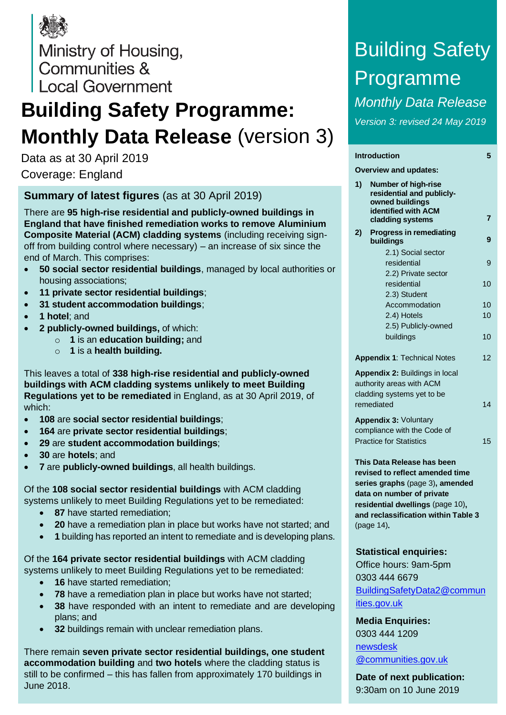

Ministry of Housing, Communities & Local Government

# **Building Safety Programme: Monthly Data Release** (version 3)

Data as at 30 April 2019 Coverage: England

#### **Summary of latest figures** (as at 30 April 2019)

There are **95 high-rise residential and publicly-owned buildings in England that have finished remediation works to remove Aluminium Composite Material (ACM) cladding systems** (including receiving signoff from building control where necessary) – an increase of six since the end of March. This comprises:

- **50 social sector residential buildings**, managed by local authorities or housing associations;
- **11 private sector residential buildings**;
- **31 student accommodation buildings**;
- **1 hotel**; and
- **2 publicly-owned buildings,** of which:
	- o **1** is an **education building;** and
	- o **1** is a **health building.**

This leaves a total of **338 high-rise residential and publicly-owned buildings with ACM cladding systems unlikely to meet Building Regulations yet to be remediated** in England, as at 30 April 2019, of which:

- **108** are **social sector residential buildings**;
- **164** are **private sector residential buildings**;
- **29** are **student accommodation buildings**;
- **30** are **hotels**; and
- **7** are **publicly-owned buildings**, all health buildings.

Of the **108 social sector residential buildings** with ACM cladding systems unlikely to meet Building Regulations yet to be remediated:

- **87** have started remediation;
- **20** have a remediation plan in place but works have not started; and
- **1** building has reported an intent to remediate and is developing plans.

Of the **164 private sector residential buildings** with ACM cladding systems unlikely to meet Building Regulations yet to be remediated:

- **16** have started remediation:
- **78** have a remediation plan in place but works have not started;
- **38** have responded with an intent to remediate and are developing plans; and
- **32** buildings remain with unclear remediation plans.

There remain **seven private sector residential buildings, one student accommodation building** and **two hotels** where the cladding status is still to be confirmed – this has fallen from approximately 170 buildings in June 2018.

# Building Safety Programme *Monthly Data Release*

*Version 3: revised 24 May 2019*

#### **Introduction [5](#page-4-0)**

**Overview and updates: 1) Number of high-rise** 

| I) | Number of high-rise<br>residential and publicly-<br>owned buildings                                                                                                                                                    |    |
|----|------------------------------------------------------------------------------------------------------------------------------------------------------------------------------------------------------------------------|----|
|    | <b>identified with ACM</b><br>cladding systems                                                                                                                                                                         | 7  |
| 2) | <b>Progress in remediating</b><br>buildings                                                                                                                                                                            | 9  |
|    | 2.1) Social sector<br>residential<br>2.2) Private sector                                                                                                                                                               | 9  |
|    | residential<br>2.3) Student                                                                                                                                                                                            | 10 |
|    | Accommodation                                                                                                                                                                                                          | 10 |
|    | 2.4) Hotels                                                                                                                                                                                                            | 10 |
|    | 2.5) Publicly-owned<br>buildings                                                                                                                                                                                       | 10 |
|    | <b>Appendix 1: Technical Notes</b>                                                                                                                                                                                     | 12 |
|    | Appendix 2: Buildings in local<br>authority areas with ACM<br>cladding systems yet to be<br>remediated                                                                                                                 | 14 |
|    | Appendix 3: Voluntary<br>compliance with the Code of<br><b>Practice for Statistics</b>                                                                                                                                 | 15 |
|    | This Data Release has been<br>revised to reflect amended time<br>series graphs (page 3), amended<br>data on number of private<br>residential dwellings (page 10),<br>and reclassification within Table 3<br>(page 14). |    |
|    | <b>Statistical enquiries:</b><br>Office hours: 9am-5pm<br>0303 444 6679<br>BuildingSafetyData2@commun<br>ities.gov.uk                                                                                                  |    |

**Media Enquiries:** 0303 444 1209 [newsdesk](mailto:newsdesk@communities.gov.uk) [@communities.gov.uk](mailto:newsdesk@communities.gov.uk)

**Date of next publication:** 9:30am on 10 June 2019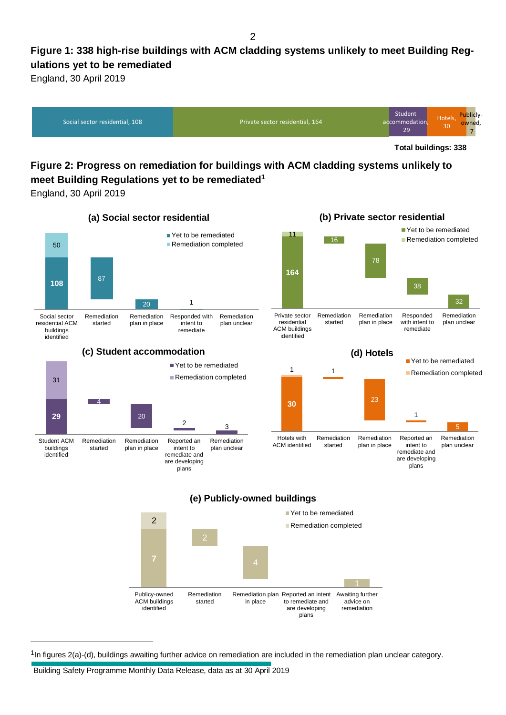#### $\mathfrak{p}$

### **Figure 1: 338 high-rise buildings with ACM cladding systems unlikely to meet Building Regulations yet to be remediated**

England, 30 April 2019



**Total buildings: 338**

### **Figure 2: Progress on remediation for buildings with ACM cladding systems unlikely to meet Building Regulations yet to be remediated<sup>1</sup>**

England, 30 April 2019



 $1$ In figures 2(a)-(d), buildings awaiting further advice on remediation are included in the remediation plan unclear category.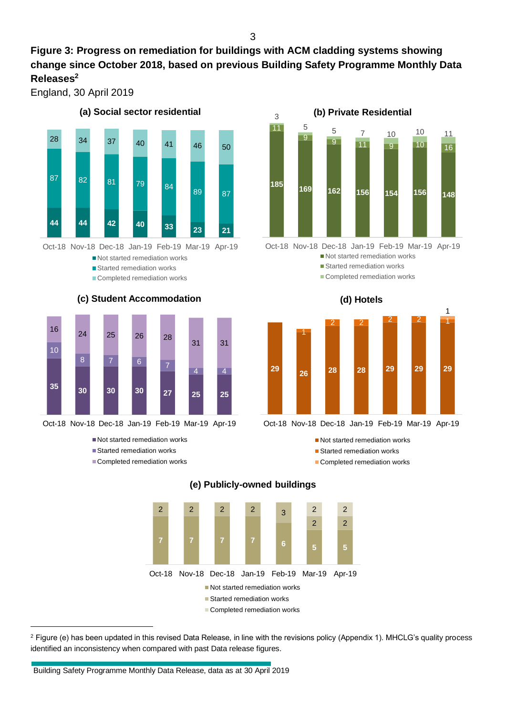#### **Figure 3: Progress on remediation for buildings with ACM cladding systems showing change since October 2018, based on previous Building Safety Programme Monthly Data Releases 2**

England, 30 April 2019



Oct-18 Nov-18 Dec-18 Jan-19 Feb-19 Mar-19 Apr-19

Not started remediation works

- Started remediation works
- Completed remediation works



#### **(c) Student Accommodation**



Not started remediation works

- Started remediation works
- Completed remediation works



Not started remediation works ■ Started remediation works

Completed remediation works

**(d) Hotels**



Not started remediation works

**Started remediation works** 

Completed remediation works



#### **(e) Publicly-owned buildings**

<sup>2</sup> Figure (e) has been updated in this revised Data Release, in line with the revisions policy (Appendix 1). MHCLG's quality process identified an inconsistency when compared with past Data release figures.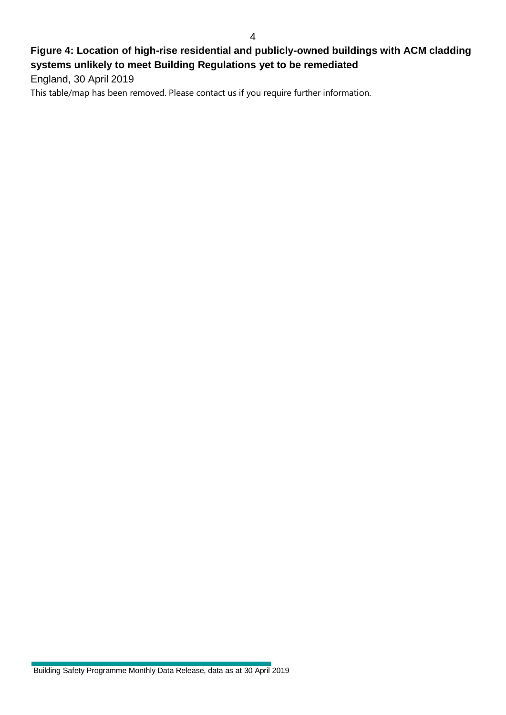#### **Figure 4: Location of high-rise residential and publicly-owned buildings with ACM cladding systems unlikely to meet Building Regulations yet to be remediated**

England, 30 April 2019

This table/map has been removed. Please contact us if you require further information.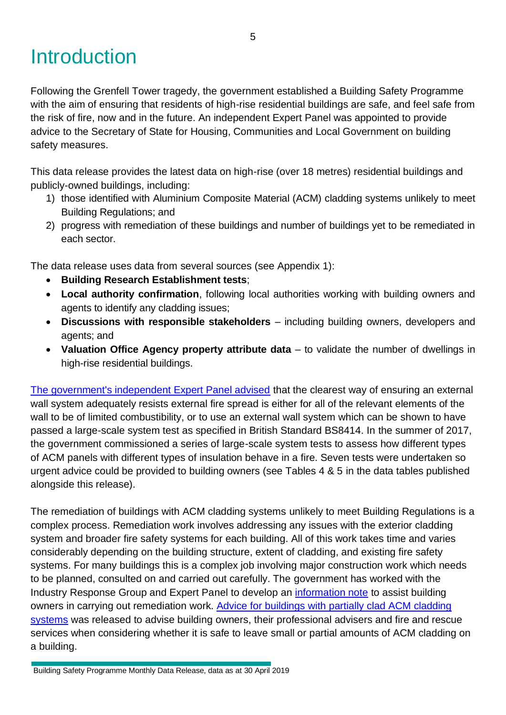# <span id="page-4-0"></span>Introduction

Following the Grenfell Tower tragedy, the government established a Building Safety Programme with the aim of ensuring that residents of high-rise residential buildings are safe, and feel safe from the risk of fire, now and in the future. An independent Expert Panel was appointed to provide advice to the Secretary of State for Housing, Communities and Local Government on building safety measures.

This data release provides the latest data on high-rise (over 18 metres) residential buildings and publicly-owned buildings, including:

- 1) those identified with Aluminium Composite Material (ACM) cladding systems unlikely to meet Building Regulations; and
- 2) progress with remediation of these buildings and number of buildings yet to be remediated in each sector.

The data release uses data from several sources (see Appendix 1):

- **Building Research Establishment tests**;
- **Local authority confirmation**, following local authorities working with building owners and agents to identify any cladding issues;
- **Discussions with responsible stakeholders** including building owners, developers and agents; and
- **Valuation Office Agency property attribute data** to validate the number of dwellings in high-rise residential buildings.

[The government's independent Expert Panel advised](https://www.gov.uk/guidance/aluminium-composite-material-cladding#advice-for-building-owners) that the clearest way of ensuring an external wall system adequately resists external fire spread is either for all of the relevant elements of the wall to be of limited combustibility, or to use an external wall system which can be shown to have passed a large-scale system test as specified in British Standard BS8414. In the summer of 2017, the government commissioned a series of large-scale system tests to assess how different types of ACM panels with different types of insulation behave in a fire. Seven tests were undertaken so urgent advice could be provided to building owners (see Tables 4 & 5 in the data tables published alongside this release).

The remediation of buildings with ACM cladding systems unlikely to meet Building Regulations is a complex process. Remediation work involves addressing any issues with the exterior cladding system and broader fire safety systems for each building. All of this work takes time and varies considerably depending on the building structure, extent of cladding, and existing fire safety systems. For many buildings this is a complex job involving major construction work which needs to be planned, consulted on and carried out carefully. The government has worked with the Industry Response Group and Expert Panel to develop an [information note](https://www.gov.uk/government/publications/information-note-for-landlords-and-building-owners-of-tall-residential-buildings-with-acm-cladding) to assist building owners in carrying out remediation work. [Advice for buildings with partially clad ACM cladding](https://www.gov.uk/government/publications/advice-for-owners-of-buildings-which-are-partially-clad-in-aluminium-composite-material-acm-cladding-systems)  [systems](https://www.gov.uk/government/publications/advice-for-owners-of-buildings-which-are-partially-clad-in-aluminium-composite-material-acm-cladding-systems) was released to advise building owners, their professional advisers and fire and rescue services when considering whether it is safe to leave small or partial amounts of ACM cladding on a building.

Building Safety Programme Monthly Data Release, data as at 30 April 2019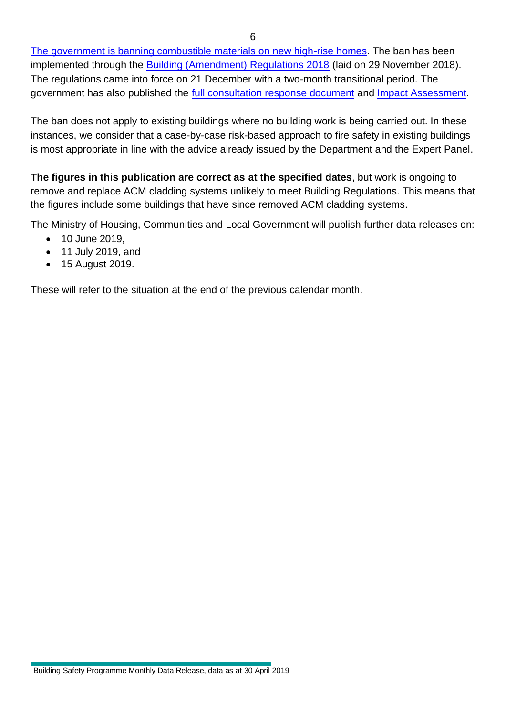[The government is banning combustible materials on new high-rise homes.](https://www.gov.uk/guidance/ban-on-combustible-materials) The ban has been implemented through the **Building (Amendment) Regulations 2018** (laid on 29 November 2018). The regulations came into force on 21 December with a two-month transitional period. The government has also published the [full consultation response document](https://www.gov.uk/government/publications/building-amendment-regulations-2018-circular-022018) and [Impact Assessment.](https://www.legislation.gov.uk/uksi/2018/1230/pdfs/uksiod_20181230_en.pdf)

The ban does not apply to existing buildings where no building work is being carried out. In these instances, we consider that a case-by-case risk-based approach to fire safety in existing buildings is most appropriate in line with the advice already issued by the Department and the Expert Panel.

**The figures in this publication are correct as at the specified dates**, but work is ongoing to remove and replace ACM cladding systems unlikely to meet Building Regulations. This means that the figures include some buildings that have since removed ACM cladding systems.

The Ministry of Housing, Communities and Local Government will publish further data releases on:

- 10 June 2019,
- 11 July 2019, and
- 15 August 2019.

These will refer to the situation at the end of the previous calendar month.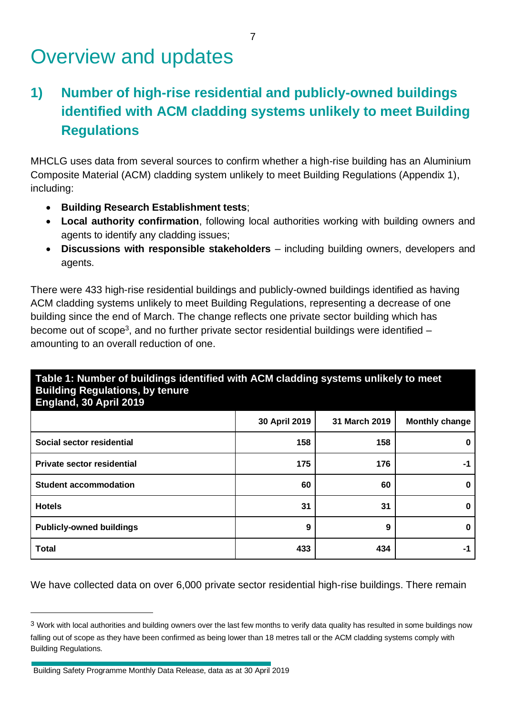# Overview and updates

## <span id="page-6-0"></span>**1) Number of high-rise residential and publicly-owned buildings identified with ACM cladding systems unlikely to meet Building Regulations**

MHCLG uses data from several sources to confirm whether a high-rise building has an Aluminium Composite Material (ACM) cladding system unlikely to meet Building Regulations (Appendix 1), including:

- **Building Research Establishment tests**;
- **Local authority confirmation**, following local authorities working with building owners and agents to identify any cladding issues;
- **Discussions with responsible stakeholders** including building owners, developers and agents.

There were 433 high-rise residential buildings and publicly-owned buildings identified as having ACM cladding systems unlikely to meet Building Regulations, representing a decrease of one building since the end of March. The change reflects one private sector building which has become out of scope<sup>3</sup>, and no further private sector residential buildings were identified amounting to an overall reduction of one.

#### **Table 1: Number of buildings identified with ACM cladding systems unlikely to meet Building Regulations, by tenure England, 30 April 2019**

| $\mathbf{u}$                      |               |               |                       |
|-----------------------------------|---------------|---------------|-----------------------|
|                                   | 30 April 2019 | 31 March 2019 | <b>Monthly change</b> |
| Social sector residential         | 158           | 158           |                       |
| <b>Private sector residential</b> | 175           | 176           | -1                    |
| <b>Student accommodation</b>      | 60            | 60            |                       |
| <b>Hotels</b>                     | 31            | 31            |                       |
| <b>Publicly-owned buildings</b>   | 9             | 9             |                       |
| <b>Total</b>                      | 433           | 434           | -1                    |

We have collected data on over 6,000 private sector residential high-rise buildings. There remain

Building Safety Programme Monthly Data Release, data as at 30 April 2019

<sup>&</sup>lt;sup>3</sup> Work with local authorities and building owners over the last few months to verify data quality has resulted in some buildings now falling out of scope as they have been confirmed as being lower than 18 metres tall or the ACM cladding systems comply with Building Regulations.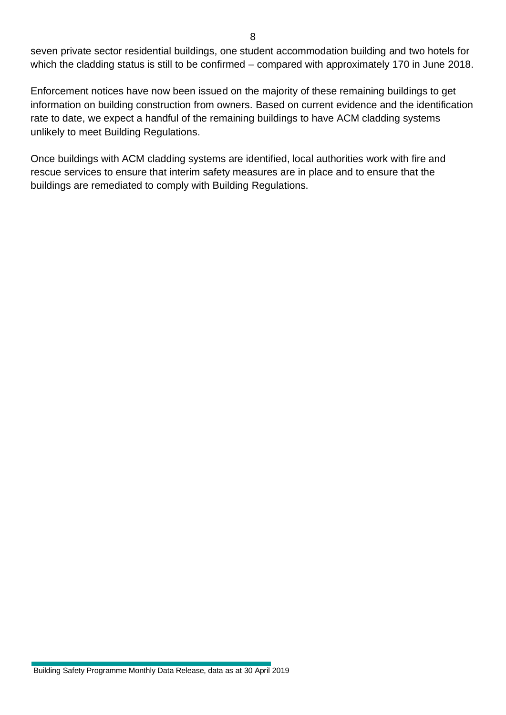seven private sector residential buildings, one student accommodation building and two hotels for which the cladding status is still to be confirmed – compared with approximately 170 in June 2018.

Enforcement notices have now been issued on the majority of these remaining buildings to get information on building construction from owners. Based on current evidence and the identification rate to date, we expect a handful of the remaining buildings to have ACM cladding systems unlikely to meet Building Regulations.

Once buildings with ACM cladding systems are identified, local authorities work with fire and rescue services to ensure that interim safety measures are in place and to ensure that the buildings are remediated to comply with Building Regulations.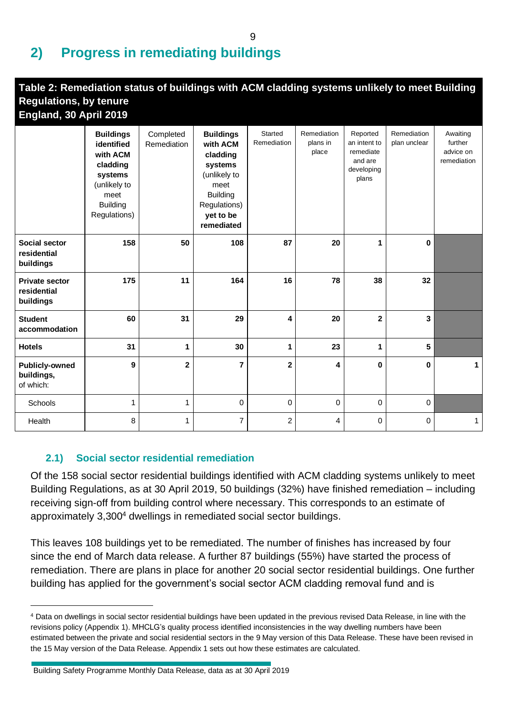# <span id="page-8-0"></span>**2) Progress in remediating buildings**

| Table 2: Remediation status of buildings with ACM cladding systems unlikely to meet Building<br><b>Regulations, by tenure</b><br>England, 30 April 2019 |                                                                                                                              |                          |                                                                                                                                           |                        |                                  |                                                                         |                             |                                                 |
|---------------------------------------------------------------------------------------------------------------------------------------------------------|------------------------------------------------------------------------------------------------------------------------------|--------------------------|-------------------------------------------------------------------------------------------------------------------------------------------|------------------------|----------------------------------|-------------------------------------------------------------------------|-----------------------------|-------------------------------------------------|
|                                                                                                                                                         | <b>Buildings</b><br>identified<br>with ACM<br>cladding<br>systems<br>(unlikely to<br>meet<br><b>Building</b><br>Regulations) | Completed<br>Remediation | <b>Buildings</b><br>with ACM<br>cladding<br>systems<br>(unlikely to<br>meet<br><b>Building</b><br>Regulations)<br>yet to be<br>remediated | Started<br>Remediation | Remediation<br>plans in<br>place | Reported<br>an intent to<br>remediate<br>and are<br>developing<br>plans | Remediation<br>plan unclear | Awaiting<br>further<br>advice on<br>remediation |
| <b>Social sector</b><br>residential<br>buildings                                                                                                        | 158                                                                                                                          | 50                       | 108                                                                                                                                       | 87                     | 20                               | 1                                                                       | $\bf{0}$                    |                                                 |
| <b>Private sector</b><br>residential<br>buildings                                                                                                       | 175                                                                                                                          | 11                       | 164                                                                                                                                       | 16                     | 78                               | 38                                                                      | 32                          |                                                 |
| <b>Student</b><br>accommodation                                                                                                                         | 60                                                                                                                           | 31                       | 29                                                                                                                                        | 4                      | 20                               | $\mathbf 2$                                                             | 3                           |                                                 |
| <b>Hotels</b>                                                                                                                                           | 31                                                                                                                           | 1                        | 30                                                                                                                                        | 1                      | 23                               | 1                                                                       | 5                           |                                                 |
| <b>Publicly-owned</b><br>buildings,<br>of which:                                                                                                        | 9                                                                                                                            | $\mathbf{2}$             | 7                                                                                                                                         | $\mathbf 2$            | 4                                | $\mathbf 0$                                                             | 0                           | 1                                               |
| Schools                                                                                                                                                 | 1                                                                                                                            | 1                        | 0                                                                                                                                         | 0                      | $\mathbf 0$                      | $\mathbf 0$                                                             | $\mathbf 0$                 |                                                 |
| Health                                                                                                                                                  | 8                                                                                                                            | 1                        | $\overline{7}$                                                                                                                            | 2                      | 4                                | 0                                                                       | 0                           | 1                                               |

#### <span id="page-8-1"></span>**2.1) Social sector residential remediation**

Of the 158 social sector residential buildings identified with ACM cladding systems unlikely to meet Building Regulations, as at 30 April 2019, 50 buildings (32%) have finished remediation – including receiving sign-off from building control where necessary. This corresponds to an estimate of approximately 3,300<sup>4</sup> dwellings in remediated social sector buildings.

This leaves 108 buildings yet to be remediated. The number of finishes has increased by four since the end of March data release. A further 87 buildings (55%) have started the process of remediation. There are plans in place for another 20 social sector residential buildings. One further building has applied for the government's social sector ACM cladding removal fund and is

<sup>4</sup> Data on dwellings in social sector residential buildings have been updated in the previous revised Data Release, in line with the revisions policy (Appendix 1). MHCLG's quality process identified inconsistencies in the way dwelling numbers have been estimated between the private and social residential sectors in the 9 May version of this Data Release. These have been revised in the 15 May version of the Data Release. Appendix 1 sets out how these estimates are calculated.

Building Safety Programme Monthly Data Release, data as at 30 April 2019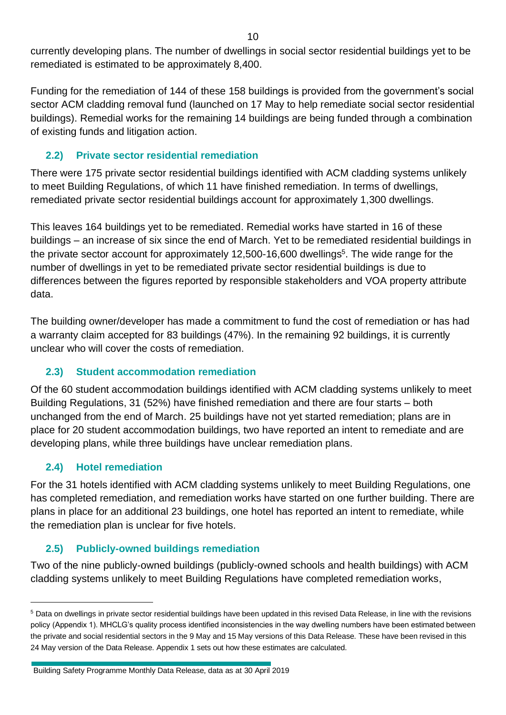currently developing plans. The number of dwellings in social sector residential buildings yet to be remediated is estimated to be approximately 8,400.

Funding for the remediation of 144 of these 158 buildings is provided from the government's social sector ACM cladding removal fund (launched on 17 May to help remediate social sector residential buildings). Remedial works for the remaining 14 buildings are being funded through a combination of existing funds and litigation action.

#### <span id="page-9-0"></span>**2.2) Private sector residential remediation**

There were 175 private sector residential buildings identified with ACM cladding systems unlikely to meet Building Regulations, of which 11 have finished remediation. In terms of dwellings, remediated private sector residential buildings account for approximately 1,300 dwellings.

This leaves 164 buildings yet to be remediated. Remedial works have started in 16 of these buildings – an increase of six since the end of March. Yet to be remediated residential buildings in the private sector account for approximately 12,500-16,600 dwellings<sup>5</sup>. The wide range for the number of dwellings in yet to be remediated private sector residential buildings is due to differences between the figures reported by responsible stakeholders and VOA property attribute data.

The building owner/developer has made a commitment to fund the cost of remediation or has had a warranty claim accepted for 83 buildings (47%). In the remaining 92 buildings, it is currently unclear who will cover the costs of remediation.

#### <span id="page-9-1"></span>**2.3) Student accommodation remediation**

Of the 60 student accommodation buildings identified with ACM cladding systems unlikely to meet Building Regulations, 31 (52%) have finished remediation and there are four starts – both unchanged from the end of March. 25 buildings have not yet started remediation; plans are in place for 20 student accommodation buildings, two have reported an intent to remediate and are developing plans, while three buildings have unclear remediation plans.

### <span id="page-9-2"></span>**2.4) Hotel remediation**

For the 31 hotels identified with ACM cladding systems unlikely to meet Building Regulations, one has completed remediation, and remediation works have started on one further building. There are plans in place for an additional 23 buildings, one hotel has reported an intent to remediate, while the remediation plan is unclear for five hotels.

### <span id="page-9-3"></span>**2.5) Publicly-owned buildings remediation**

Two of the nine publicly-owned buildings (publicly-owned schools and health buildings) with ACM cladding systems unlikely to meet Building Regulations have completed remediation works,

<sup>5</sup> Data on dwellings in private sector residential buildings have been updated in this revised Data Release, in line with the revisions policy (Appendix 1). MHCLG's quality process identified inconsistencies in the way dwelling numbers have been estimated between the private and social residential sectors in the 9 May and 15 May versions of this Data Release. These have been revised in this 24 May version of the Data Release. Appendix 1 sets out how these estimates are calculated.

Building Safety Programme Monthly Data Release, data as at 30 April 2019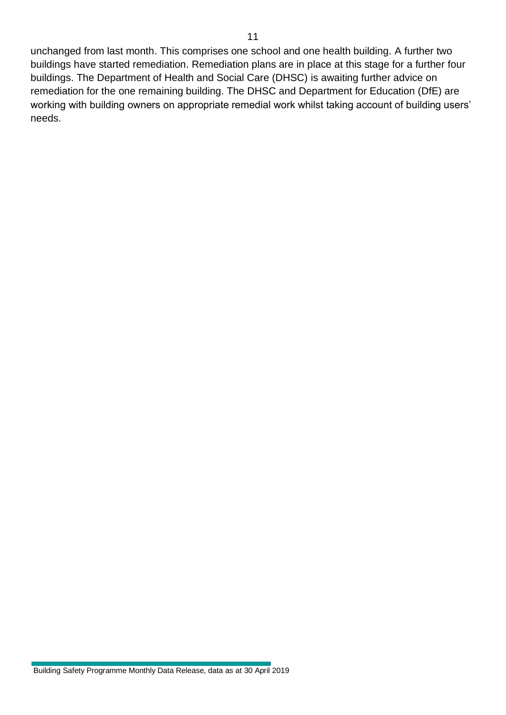unchanged from last month. This comprises one school and one health building. A further two buildings have started remediation. Remediation plans are in place at this stage for a further four buildings. The Department of Health and Social Care (DHSC) is awaiting further advice on remediation for the one remaining building. The DHSC and Department for Education (DfE) are working with building owners on appropriate remedial work whilst taking account of building users' needs.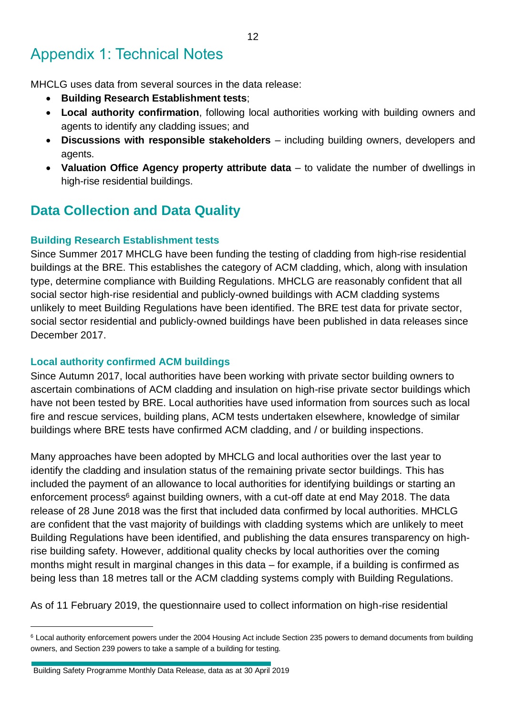# <span id="page-11-0"></span>Appendix 1: Technical Notes

MHCLG uses data from several sources in the data release:

- **Building Research Establishment tests**;
- **Local authority confirmation**, following local authorities working with building owners and agents to identify any cladding issues; and
- **Discussions with responsible stakeholders** including building owners, developers and agents.
- **Valuation Office Agency property attribute data** to validate the number of dwellings in high-rise residential buildings.

## **Data Collection and Data Quality**

#### **Building Research Establishment tests**

Since Summer 2017 MHCLG have been funding the testing of cladding from high-rise residential buildings at the BRE. This establishes the category of ACM cladding, which, along with insulation type, determine compliance with Building Regulations. MHCLG are reasonably confident that all social sector high-rise residential and publicly-owned buildings with ACM cladding systems unlikely to meet Building Regulations have been identified. The BRE test data for private sector, social sector residential and publicly-owned buildings have been published in data releases since December 2017.

#### **Local authority confirmed ACM buildings**

Since Autumn 2017, local authorities have been working with private sector building owners to ascertain combinations of ACM cladding and insulation on high-rise private sector buildings which have not been tested by BRE. Local authorities have used information from sources such as local fire and rescue services, building plans, ACM tests undertaken elsewhere, knowledge of similar buildings where BRE tests have confirmed ACM cladding, and / or building inspections.

Many approaches have been adopted by MHCLG and local authorities over the last year to identify the cladding and insulation status of the remaining private sector buildings. This has included the payment of an allowance to local authorities for identifying buildings or starting an enforcement process<sup>6</sup> against building owners, with a cut-off date at end May 2018. The data release of 28 June 2018 was the first that included data confirmed by local authorities. MHCLG are confident that the vast majority of buildings with cladding systems which are unlikely to meet Building Regulations have been identified, and publishing the data ensures transparency on highrise building safety. However, additional quality checks by local authorities over the coming months might result in marginal changes in this data – for example, if a building is confirmed as being less than 18 metres tall or the ACM cladding systems comply with Building Regulations.

As of 11 February 2019, the questionnaire used to collect information on high-rise residential

<sup>6</sup> Local authority enforcement powers under the 2004 Housing Act include Section 235 powers to demand documents from building owners, and Section 239 powers to take a sample of a building for testing.

Building Safety Programme Monthly Data Release, data as at 30 April 2019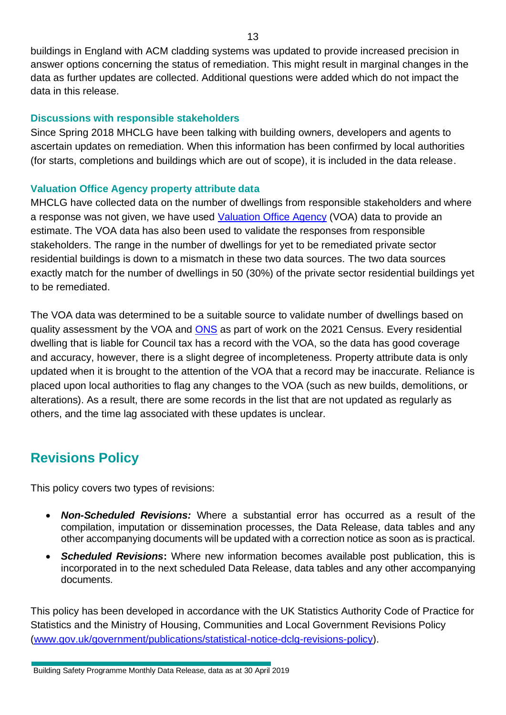buildings in England with ACM cladding systems was updated to provide increased precision in answer options concerning the status of remediation. This might result in marginal changes in the data as further updates are collected. Additional questions were added which do not impact the data in this release.

#### **Discussions with responsible stakeholders**

Since Spring 2018 MHCLG have been talking with building owners, developers and agents to ascertain updates on remediation. When this information has been confirmed by local authorities (for starts, completions and buildings which are out of scope), it is included in the data release.

#### **Valuation Office Agency property attribute data**

MHCLG have collected data on the number of dwellings from responsible stakeholders and where a response was not given, we have used [Valuation Office Agency](https://www.gov.uk/government/organisations/valuation-office-agency/about/statistics) (VOA) data to provide an estimate. The VOA data has also been used to validate the responses from responsible stakeholders. The range in the number of dwellings for yet to be remediated private sector residential buildings is down to a mismatch in these two data sources. The two data sources exactly match for the number of dwellings in 50 (30%) of the private sector residential buildings yet to be remediated.

The VOA data was determined to be a suitable source to validate number of dwellings based on quality assessment by the VOA and [ONS](https://www.ons.gov.uk/census/censustransformationprogramme/administrativedatacensusproject/datasourceoverviews/valuationofficeagencydata) as part of work on the 2021 Census. Every residential dwelling that is liable for Council tax has a record with the VOA, so the data has good coverage and accuracy, however, there is a slight degree of incompleteness. Property attribute data is only updated when it is brought to the attention of the VOA that a record may be inaccurate. Reliance is placed upon local authorities to flag any changes to the VOA (such as new builds, demolitions, or alterations). As a result, there are some records in the list that are not updated as regularly as others, and the time lag associated with these updates is unclear.

## **Revisions Policy**

This policy covers two types of revisions:

- *Non-Scheduled Revisions:* Where a substantial error has occurred as a result of the compilation, imputation or dissemination processes, the Data Release, data tables and any other accompanying documents will be updated with a correction notice as soon as is practical.
- *Scheduled Revisions***:** Where new information becomes available post publication, this is incorporated in to the next scheduled Data Release, data tables and any other accompanying documents.

This policy has been developed in accordance with the UK Statistics Authority Code of Practice for Statistics and the Ministry of Housing, Communities and Local Government Revisions Policy [\(www.gov.uk/government/publications/statistical-notice-dclg-revisions-policy\)](http://www.gov.uk/government/publications/statistical-notice-dclg-revisions-policy).

Building Safety Programme Monthly Data Release, data as at 30 April 2019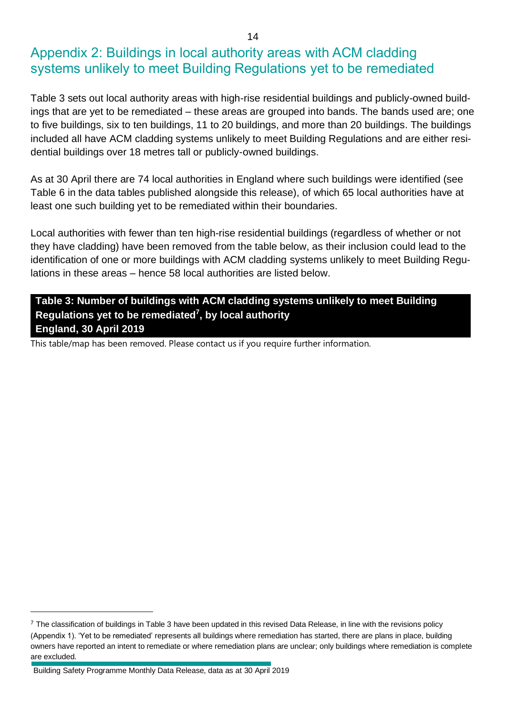### <span id="page-13-0"></span>Appendix 2: Buildings in local authority areas with ACM cladding systems unlikely to meet Building Regulations yet to be remediated

Table 3 sets out local authority areas with high-rise residential buildings and publicly-owned buildings that are yet to be remediated – these areas are grouped into bands. The bands used are; one to five buildings, six to ten buildings, 11 to 20 buildings, and more than 20 buildings. The buildings included all have ACM cladding systems unlikely to meet Building Regulations and are either residential buildings over 18 metres tall or publicly-owned buildings.

As at 30 April there are 74 local authorities in England where such buildings were identified (see Table 6 in the data tables published alongside this release), of which 65 local authorities have at least one such building yet to be remediated within their boundaries.

Local authorities with fewer than ten high-rise residential buildings (regardless of whether or not they have cladding) have been removed from the table below, as their inclusion could lead to the identification of one or more buildings with ACM cladding systems unlikely to meet Building Regulations in these areas – hence 58 local authorities are listed below.

#### **Table 3: Number of buildings with ACM cladding systems unlikely to meet Building Regulations yet to be remediated<sup>7</sup> , by local authority England, 30 April 2019**

This table/map has been removed. Please contact us if you require further information.

 $7$  The classification of buildings in Table 3 have been updated in this revised Data Release, in line with the revisions policy (Appendix 1). 'Yet to be remediated' represents all buildings where remediation has started, there are plans in place, building owners have reported an intent to remediate or where remediation plans are unclear; only buildings where remediation is complete are excluded.

Building Safety Programme Monthly Data Release, data as at 30 April 2019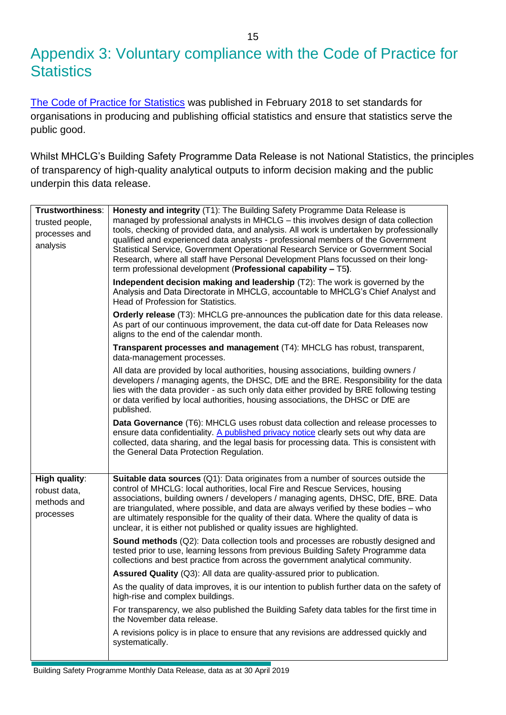## <span id="page-14-0"></span>Appendix 3: Voluntary compliance with the Code of Practice for **Statistics**

[The Code of Practice for Statistics](https://www.statisticsauthority.gov.uk/wp-content/uploads/2018/02/Code-of-Practice-for-Statistics.pdf) was published in February 2018 to set standards for organisations in producing and publishing official statistics and ensure that statistics serve the public good.

Whilst MHCLG's Building Safety Programme Data Release is not National Statistics, the principles of transparency of high-quality analytical outputs to inform decision making and the public underpin this data release.

| Trustworthiness:<br>trusted people,<br>processes and<br>analysis | Honesty and integrity (T1): The Building Safety Programme Data Release is<br>managed by professional analysts in MHCLG - this involves design of data collection<br>tools, checking of provided data, and analysis. All work is undertaken by professionally<br>qualified and experienced data analysts - professional members of the Government<br>Statistical Service, Government Operational Research Service or Government Social<br>Research, where all staff have Personal Development Plans focussed on their long-<br>term professional development (Professional capability - T5). |
|------------------------------------------------------------------|---------------------------------------------------------------------------------------------------------------------------------------------------------------------------------------------------------------------------------------------------------------------------------------------------------------------------------------------------------------------------------------------------------------------------------------------------------------------------------------------------------------------------------------------------------------------------------------------|
|                                                                  | Independent decision making and leadership (T2): The work is governed by the<br>Analysis and Data Directorate in MHCLG, accountable to MHCLG's Chief Analyst and<br>Head of Profession for Statistics.                                                                                                                                                                                                                                                                                                                                                                                      |
|                                                                  | Orderly release (T3): MHCLG pre-announces the publication date for this data release.<br>As part of our continuous improvement, the data cut-off date for Data Releases now<br>aligns to the end of the calendar month.                                                                                                                                                                                                                                                                                                                                                                     |
|                                                                  | Transparent processes and management (T4): MHCLG has robust, transparent,<br>data-management processes.                                                                                                                                                                                                                                                                                                                                                                                                                                                                                     |
|                                                                  | All data are provided by local authorities, housing associations, building owners /<br>developers / managing agents, the DHSC, DfE and the BRE. Responsibility for the data<br>lies with the data provider - as such only data either provided by BRE following testing<br>or data verified by local authorities, housing associations, the DHSC or DfE are<br>published.                                                                                                                                                                                                                   |
|                                                                  | Data Governance (T6): MHCLG uses robust data collection and release processes to<br>ensure data confidentiality. A published privacy notice clearly sets out why data are<br>collected, data sharing, and the legal basis for processing data. This is consistent with<br>the General Data Protection Regulation.                                                                                                                                                                                                                                                                           |
| High quality:<br>robust data,<br>methods and<br>processes        | <b>Suitable data sources</b> (Q1): Data originates from a number of sources outside the<br>control of MHCLG: local authorities, local Fire and Rescue Services, housing<br>associations, building owners / developers / managing agents, DHSC, DfE, BRE. Data<br>are triangulated, where possible, and data are always verified by these bodies - who<br>are ultimately responsible for the quality of their data. Where the quality of data is<br>unclear, it is either not published or quality issues are highlighted.                                                                   |
|                                                                  | <b>Sound methods</b> (Q2): Data collection tools and processes are robustly designed and<br>tested prior to use, learning lessons from previous Building Safety Programme data<br>collections and best practice from across the government analytical community.                                                                                                                                                                                                                                                                                                                            |
|                                                                  | Assured Quality (Q3): All data are quality-assured prior to publication.                                                                                                                                                                                                                                                                                                                                                                                                                                                                                                                    |
|                                                                  | As the quality of data improves, it is our intention to publish further data on the safety of<br>high-rise and complex buildings.                                                                                                                                                                                                                                                                                                                                                                                                                                                           |
|                                                                  | For transparency, we also published the Building Safety data tables for the first time in<br>the November data release.                                                                                                                                                                                                                                                                                                                                                                                                                                                                     |
|                                                                  | A revisions policy is in place to ensure that any revisions are addressed quickly and<br>systematically.                                                                                                                                                                                                                                                                                                                                                                                                                                                                                    |